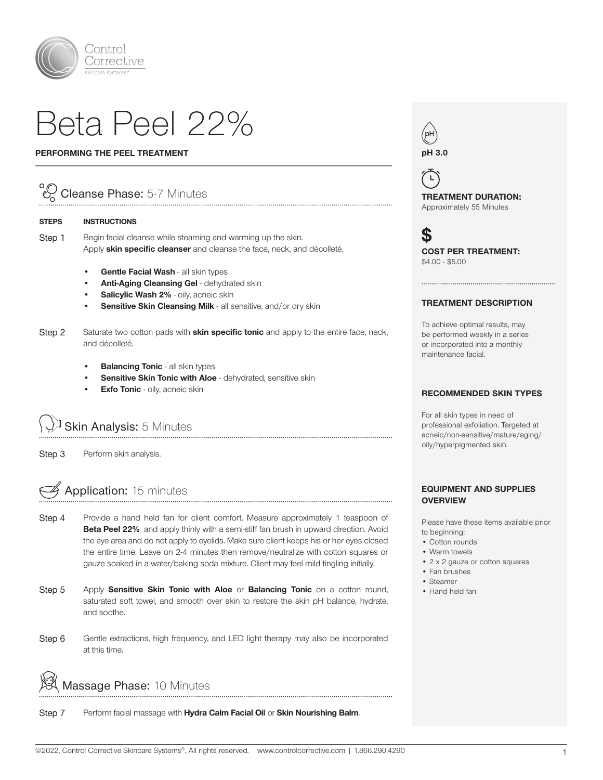

# Beta Peel 22%

#### PERFORMING THE PEEL TREATMENT

## Cleanse Phase: 5-7 Minutes

#### STEPS INSTRUCTIONS

Step 1 Begin facial cleanse while steaming and warming up the skin. Apply skin specific cleanser and cleanse the face, neck, and décolleté.

- Gentle Facial Wash all skin types
- Anti-Aging Cleansing Gel dehydrated skin
- Salicylic Wash 2% oily, acneic skin
- Sensitive Skin Cleansing Milk all sensitive, and/or dry skin
- Step 2 Saturate two cotton pads with **skin specific tonic** and apply to the entire face, neck, and décolleté.
	- **Balancing Tonic all skin types**
	- Sensitive Skin Tonic with Aloe dehydrated, sensitive skin
	- **Exfo Tonic** oily, acneic skin

J Skin Analysis: 5 Minutes

Step 3 Perform skin analysis.

### Application: 15 minutes

Step 4 Provide a hand held fan for client comfort. Measure approximately 1 teaspoon of Beta Peel 22% and apply thinly with a semi-stiff fan brush in upward direction. Avoid the eye area and do not apply to eyelids. Make sure client keeps his or her eyes closed the entire time. Leave on 2-4 minutes then remove/neutralize with cotton squares or gauze soaked in a water/baking soda mixture. Client may feel mild tingling initially.

- Step 5 Apply Sensitive Skin Tonic with Aloe or Balancing Tonic on a cotton round, saturated soft towel, and smooth over skin to restore the skin pH balance, hydrate, and soothe.
- Step 6 Gentle extractions, high frequency, and LED light therapy may also be incorporated at this time.

Massage Phase: 10 Minutes

Step 7 Perform facial massage with Hydra Calm Facial Oil or Skin Nourishing Balm.



 $\mathsf{L}$ TREATMENT DURATION: Approximately 55 Minutes

S COST PER TREATMENT: \$4.00 - \$5.00

#### TREATMENT DESCRIPTION

To achieve optimal results, may be performed weekly in a series or incorporated into a monthly maintenance facial.

#### RECOMMENDED SKIN TYPES

For all skin types in need of professional exfoliation. Targeted at acneic/non-sensitive/mature/aging/ oily/hyperpigmented skin.

#### EQUIPMENT AND SUPPLIES **OVERVIEW**

Please have these items available prior to beginning:

- Cotton rounds
- Warm towels
- 2 x 2 gauze or cotton squares
- Fan brushes
- Steamer
- Hand held fan